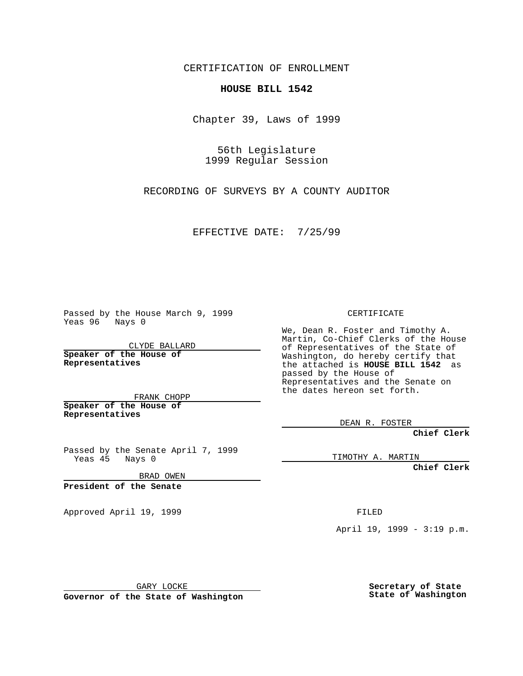CERTIFICATION OF ENROLLMENT

## **HOUSE BILL 1542**

Chapter 39, Laws of 1999

56th Legislature 1999 Regular Session

RECORDING OF SURVEYS BY A COUNTY AUDITOR

EFFECTIVE DATE: 7/25/99

Passed by the House March 9, 1999 Yeas 96 Nays 0

CLYDE BALLARD **Speaker of the House of Representatives**

FRANK CHOPP **Speaker of the House of Representatives**

Passed by the Senate April 7, 1999 Yeas 45 Nays 0

BRAD OWEN

**President of the Senate**

Approved April 19, 1999 **FILED** 

CERTIFICATE

We, Dean R. Foster and Timothy A. Martin, Co-Chief Clerks of the House of Representatives of the State of Washington, do hereby certify that the attached is **HOUSE BILL 1542** as passed by the House of Representatives and the Senate on the dates hereon set forth.

DEAN R. FOSTER

**Chief Clerk**

TIMOTHY A. MARTIN

**Chief Clerk**

April 19, 1999 - 3:19 p.m.

GARY LOCKE

**Governor of the State of Washington**

**Secretary of State State of Washington**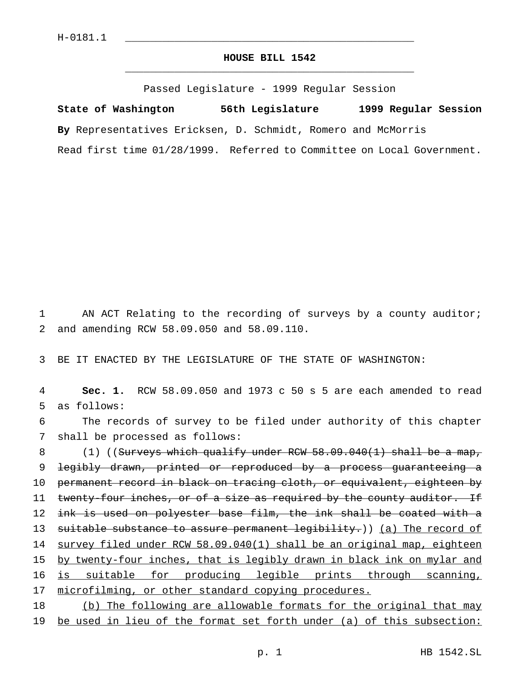## **HOUSE BILL 1542** \_\_\_\_\_\_\_\_\_\_\_\_\_\_\_\_\_\_\_\_\_\_\_\_\_\_\_\_\_\_\_\_\_\_\_\_\_\_\_\_\_\_\_\_\_\_\_

Passed Legislature - 1999 Regular Session

**State of Washington 56th Legislature 1999 Regular Session By** Representatives Ericksen, D. Schmidt, Romero and McMorris Read first time 01/28/1999. Referred to Committee on Local Government.

1 AN ACT Relating to the recording of surveys by a county auditor; 2 and amending RCW 58.09.050 and 58.09.110.

3 BE IT ENACTED BY THE LEGISLATURE OF THE STATE OF WASHINGTON:

4 **Sec. 1.** RCW 58.09.050 and 1973 c 50 s 5 are each amended to read 5 as follows:

6 The records of survey to be filed under authority of this chapter 7 shall be processed as follows:

8 (1) ((Surveys which qualify under RCW 58.09.040(1) shall be a map, 9 legibly drawn, printed or reproduced by a process guaranteeing a 10 permanent record in black on tracing cloth, or equivalent, eighteen by 11 twenty-four inches, or of a size as required by the county auditor. If 12 ink is used on polyester base film, the ink shall be coated with a 13 suitable substance to assure permanent legibility.)) (a) The record of 14 survey filed under RCW 58.09.040(1) shall be an original map, eighteen 15 by twenty-four inches, that is legibly drawn in black ink on mylar and 16 is suitable for producing legible prints through scanning, 17 microfilming, or other standard copying procedures. 18 (b) The following are allowable formats for the original that may

19 be used in lieu of the format set forth under (a) of this subsection: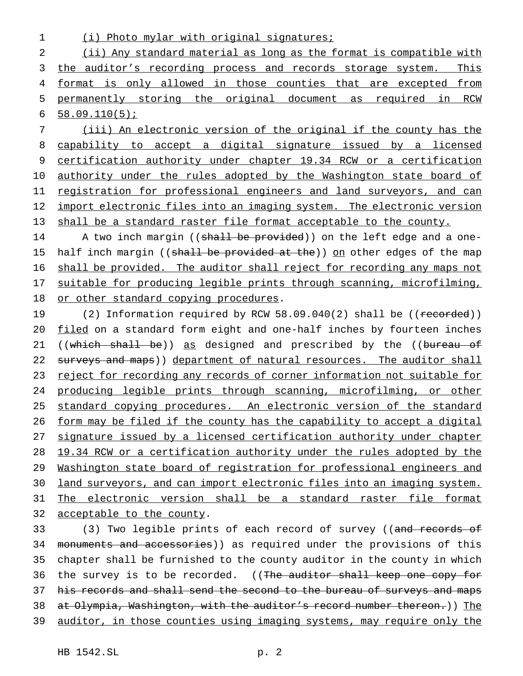1 (i) Photo mylar with original signatures;

2 (ii) Any standard material as long as the format is compatible with 3 the auditor's recording process and records storage system. This 4 format is only allowed in those counties that are excepted from 5 permanently storing the original document as required in RCW 6 58.09.110(5);

7 (iii) An electronic version of the original if the county has the 8 capability to accept a digital signature issued by a licensed 9 certification authority under chapter 19.34 RCW or a certification 10 authority under the rules adopted by the Washington state board of 11 registration for professional engineers and land surveyors, and can 12 import electronic files into an imaging system. The electronic version 13 shall be a standard raster file format acceptable to the county.

14 A two inch margin ((shall be provided)) on the left edge and a one-15 half inch margin ((shall be provided at the)) on other edges of the map 16 shall be provided. The auditor shall reject for recording any maps not 17 suitable for producing legible prints through scanning, microfilming, 18 or other standard copying procedures.

19 (2) Information required by RCW 58.09.040(2) shall be ((recorded)) 20 filed on a standard form eight and one-half inches by fourteen inches 21 ((which shall be)) as designed and prescribed by the ((bureau of 22 surveys and maps)) department of natural resources. The auditor shall 23 reject for recording any records of corner information not suitable for 24 producing legible prints through scanning, microfilming, or other 25 standard copying procedures. An electronic version of the standard 26 form may be filed if the county has the capability to accept a digital 27 signature issued by a licensed certification authority under chapter 28 19.34 RCW or a certification authority under the rules adopted by the 29 Washington state board of registration for professional engineers and 30 land surveyors, and can import electronic files into an imaging system. 31 The electronic version shall be a standard raster file format 32 acceptable to the county.

33 (3) Two legible prints of each record of survey ((<del>and records of</del> 34 monuments and accessories)) as required under the provisions of this 35 chapter shall be furnished to the county auditor in the county in which 36 the survey is to be recorded. ((The auditor shall keep one copy for 37 his records and shall send the second to the bureau of surveys and maps 38 at Olympia, Washington, with the auditor's record number thereon.)) The 39 auditor, in those counties using imaging systems, may require only the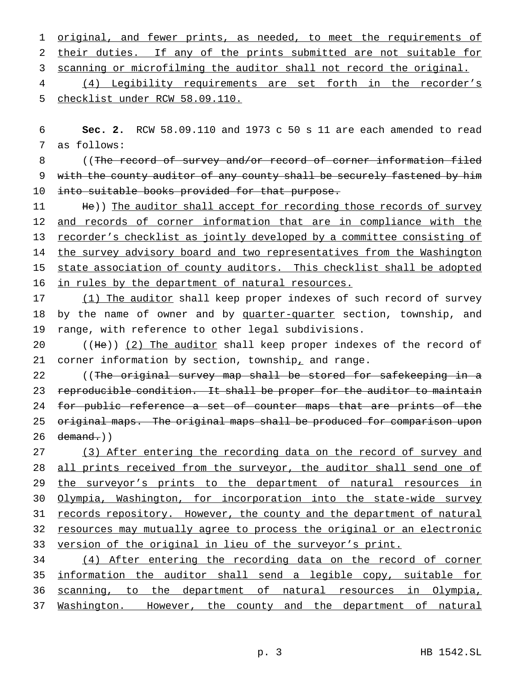1 original, and fewer prints, as needed, to meet the requirements of their duties. If any of the prints submitted are not suitable for scanning or microfilming the auditor shall not record the original. (4) Legibility requirements are set forth in the recorder's

5 checklist under RCW 58.09.110.

6 **Sec. 2.** RCW 58.09.110 and 1973 c 50 s 11 are each amended to read 7 as follows:

8 ((The record of survey and/or record of corner information filed 9 with the county auditor of any county shall be securely fastened by him 10 into suitable books provided for that purpose.

11 He)) The auditor shall accept for recording those records of survey 12 and records of corner information that are in compliance with the 13 recorder's checklist as jointly developed by a committee consisting of 14 the survey advisory board and two representatives from the Washington 15 state association of county auditors. This checklist shall be adopted 16 in rules by the department of natural resources.

17 (1) The auditor shall keep proper indexes of such record of survey 18 by the name of owner and by quarter-quarter section, township, and 19 range, with reference to other legal subdivisions.

20 ((He)) (2) The auditor shall keep proper indexes of the record of 21 corner information by section, township<sub> $r$ </sub> and range.

22 ((The original survey map shall be stored for safekeeping in a 23 reproducible condition. It shall be proper for the auditor to maintain 24 for public reference a set of counter maps that are prints of the 25 original maps. The original maps shall be produced for comparison upon  $26$  demand.))

27 (3) After entering the recording data on the record of survey and 28 all prints received from the surveyor, the auditor shall send one of 29 the surveyor's prints to the department of natural resources in 30 Olympia, Washington, for incorporation into the state-wide survey 31 records repository. However, the county and the department of natural 32 resources may mutually agree to process the original or an electronic 33 version of the original in lieu of the surveyor's print.

 (4) After entering the recording data on the record of corner 35 information the auditor shall send a legible copy, suitable for scanning, to the department of natural resources in Olympia, Washington. However, the county and the department of natural